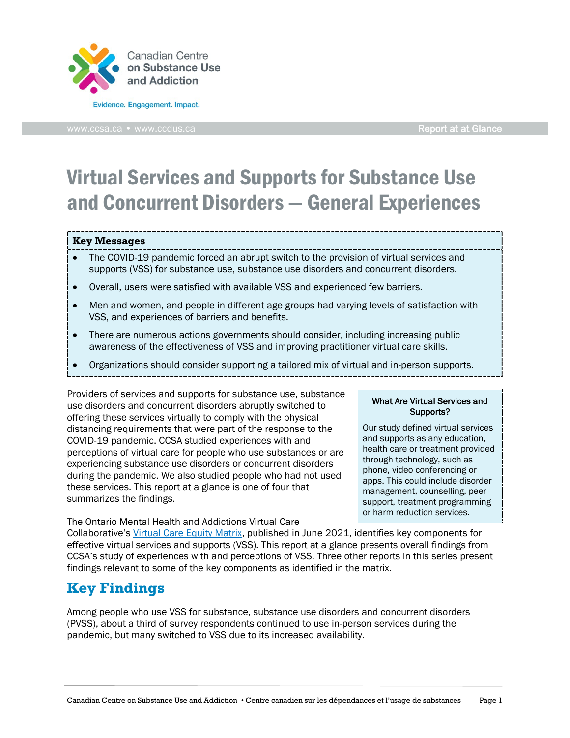

[www.ccsa.ca](http://www.ccsa.ca/) • www.ccdus.ca Report at at Glance

# Virtual Services and Supports for Substance Use and Concurrent Disorders — General Experiences

#### **Key Messages**

- The COVID-19 pandemic forced an abrupt switch to the provision of virtual services and supports (VSS) for substance use, substance use disorders and concurrent disorders.
- Overall, users were satisfied with available VSS and experienced few barriers.
- Men and women, and people in different age groups had varying levels of satisfaction with VSS, and experiences of barriers and benefits.
- There are numerous actions governments should consider, including increasing public awareness of the effectiveness of VSS and improving practitioner virtual care skills.
- Organizations should consider supporting a tailored mix of virtual and in-person supports.
- 

Providers of services and supports for substance use, substance use disorders and concurrent disorders abruptly switched to offering these services virtually to comply with the physical distancing requirements that were part of the response to the COVID-19 pandemic. CCSA studied experiences with and perceptions of virtual care for people who use substances or are experiencing substance use disorders or concurrent disorders during the pandemic. We also studied people who had not used these services. This report at a glance is one of four that summarizes the findings.

The Ontario Mental Health and Addictions Virtual Care

#### What Are Virtual Services and Supports?

Our study defined virtual services and supports as any education, health care or treatment provided through technology, such as phone, video conferencing or apps. This could include disorder management, counselling, peer support, treatment programming or harm reduction services.

Collaborative's [Virtual Care Equity Matrix,](https://kmb.camh.ca/eenet/resources/virtual-care-equity-matrix-no-one-left-behind) published in June 2021, identifies key components for effective virtual services and supports (VSS). This report at a glance presents overall findings from CCSA's study of experiences with and perceptions of VSS. Three other reports in this series present findings relevant to some of the key components as identified in the matrix.

## **Key Findings**

Among people who use VSS for substance, substance use disorders and concurrent disorders (PVSS), about a third of survey respondents continued to use in-person services during the pandemic, but many switched to VSS due to its increased availability.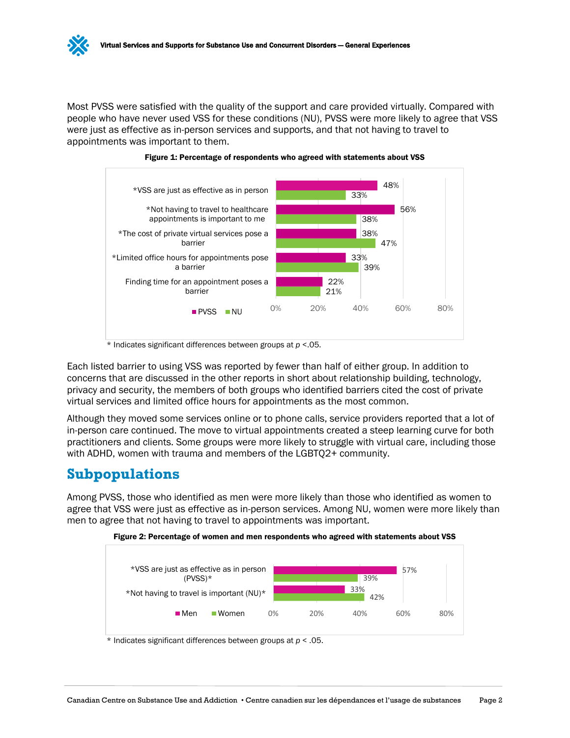Most PVSS were satisfied with the quality of the support and care provided virtually. Compared with people who have never used VSS for these conditions (NU), PVSS were more likely to agree that VSS were just as effective as in-person services and supports, and that not having to travel to appointments was important to them.





Each listed barrier to using VSS was reported by fewer than half of either group. In addition to concerns that are discussed in the other reports in short about relationship building, technology, privacy and security, the members of both groups who identified barriers cited the cost of private virtual services and limited office hours for appointments as the most common.

Although they moved some services online or to phone calls, service providers reported that a lot of in-person care continued. The move to virtual appointments created a steep learning curve for both practitioners and clients. Some groups were more likely to struggle with virtual care, including those with ADHD, women with trauma and members of the LGBTQ2+ community.

### **Subpopulations**

Among PVSS, those who identified as men were more likely than those who identified as women to agree that VSS were just as effective as in-person services. Among NU, women were more likely than men to agree that not having to travel to appointments was important.





\* Indicates significant differences between groups at *p* < .05.

<sup>\*</sup> Indicates significant differences between groups at *p* <.05.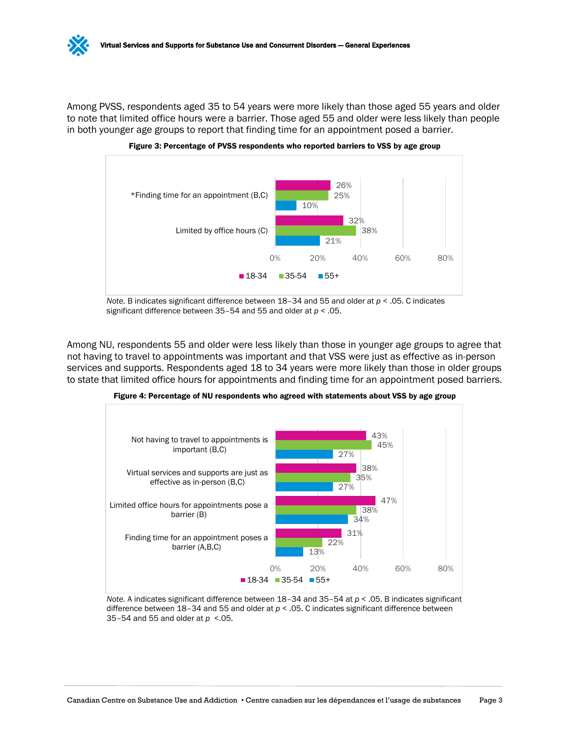

Among PVSS, respondents aged 35 to 54 years were more likely than those aged 55 years and older to note that limited office hours were a barrier. Those aged 55 and older were less likely than people in both younger age groups to report that finding time for an appointment posed a barrier.



Figure 3: Percentage of PVSS respondents who reported barriers to VSS by age group

*Note.* B indicates significant difference between 18–34 and 55 and older at *p* < .05. C indicates significant difference between 35–54 and 55 and older at *p* < .05.

Among NU, respondents 55 and older were less likely than those in younger age groups to agree that not having to travel to appointments was important and that VSS were just as effective as in-person services and supports. Respondents aged 18 to 34 years were more likely than those in older groups to state that limited office hours for appointments and finding time for an appointment posed barriers.



Figure 4: Percentage of NU respondents who agreed with statements about VSS by age group

*Note.* A indicates significant difference between 18–34 and 35–54 at *p* < .05. B indicates significant difference between 18–34 and 55 and older at *p* < .05. C indicates significant difference between 35–54 and 55 and older at *p* <.05.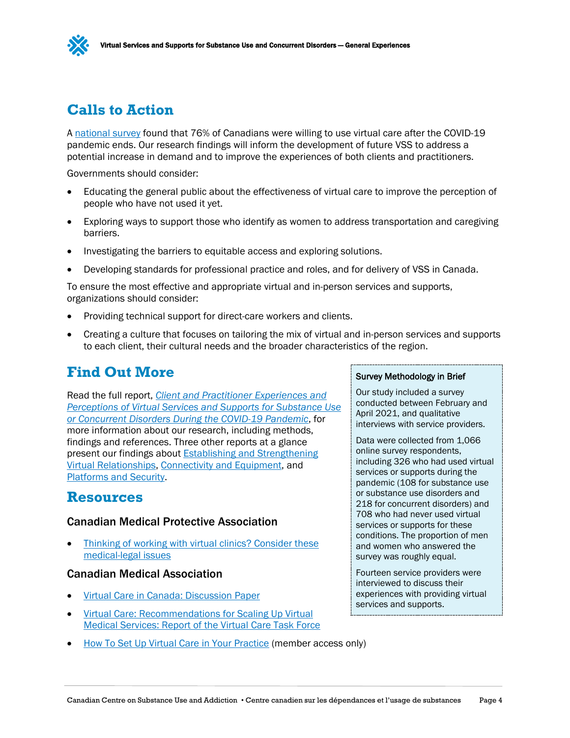# **Calls to Action**

A [national survey](https://www.infoway-inforoute.ca/en/component/edocman/resources/reports/3850-a-healthy-dialogue-executive-summary) found that 76% of Canadians were willing to use virtual care after the COVID-19 pandemic ends. Our research findings will inform the development of future VSS to address a potential increase in demand and to improve the experiences of both clients and practitioners.

Governments should consider:

- Educating the general public about the effectiveness of virtual care to improve the perception of people who have not used it yet.
- Exploring ways to support those who identify as women to address transportation and caregiving barriers.
- Investigating the barriers to equitable access and exploring solutions.
- Developing standards for professional practice and roles, and for delivery of VSS in Canada.

To ensure the most effective and appropriate virtual and in-person services and supports, organizations should consider:

- Providing technical support for direct-care workers and clients.
- Creating a culture that focuses on tailoring the mix of virtual and in-person services and supports to each client, their cultural needs and the broader characteristics of the region.

## **Find Out More**

Read the full report, *[Client and Practitioner Experiences and](https://www.ccsa.ca/client-and-practitioner-experiences-and-perceptions-virtual-services-and-supports-substance-use-or)  [Perceptions of Virtual Services and Supports for Substance Use](https://www.ccsa.ca/client-and-practitioner-experiences-and-perceptions-virtual-services-and-supports-substance-use-or)  [or Concurrent Disorders During the COVID-19 Pandemic](https://www.ccsa.ca/client-and-practitioner-experiences-and-perceptions-virtual-services-and-supports-substance-use-or)*, for more information about our research, including methods, findings and references. Three other reports at a glance present our findings about [Establishing and Strengthening](https://www.ccsa.ca/virtual-services-and-supports-substance-use-and-concurrent-disorders-establishing-and-strengthening)  [Virtual Relationships,](https://www.ccsa.ca/virtual-services-and-supports-substance-use-and-concurrent-disorders-establishing-and-strengthening) [Connectivity and Equipment,](https://www.ccsa.ca/virtual-services-and-supports-substance-use-and-concurrent-disorders-connectivity-and-equipment) and [Platforms and Security.](https://www.ccsa.ca/virtual-services-and-supports-substance-use-and-concurrent-disorders-platforms-and-security-report)

### **Resources**

#### Canadian Medical Protective Association

Thinking of working with virtual clinics? Consider these [medical-legal issues](https://www.cmpa-acpm.ca/en/advice-publications/browse-articles/2018/thinking-of-working-with-virtual-clinics---consider-these-medical-legal-issues)

#### Canadian Medical Association

- [Virtual Care in Canada: Discussion Paper](https://www.cma.ca/sites/default/files/pdf/News/Virtual_Care_discussionpaper_v2EN.pdf)
- Virtual Care: [Recommendations for Scaling Up Virtual](https://policybase.cma.ca/documents/PolicyPDF/PD20-07.pdf)  [Medical Services: Report of the Virtual Care Task Force](https://policybase.cma.ca/documents/PolicyPDF/PD20-07.pdf)
- [How To Set Up Virtual Care in Your Practice](https://www.cma.ca/how-set-virtual-care-your-practice) (member access only)

#### Survey Methodology in Brief

Our study included a survey conducted between February and April 2021, and qualitative interviews with service providers.

Data were collected from 1,066 online survey respondents, including 326 who had used virtual services or supports during the pandemic (108 for substance use or substance use disorders and 218 for concurrent disorders) and 708 who had never used virtual services or supports for these conditions. The proportion of men and women who answered the survey was roughly equal.

Fourteen service providers were interviewed to discuss their experiences with providing virtual services and supports.